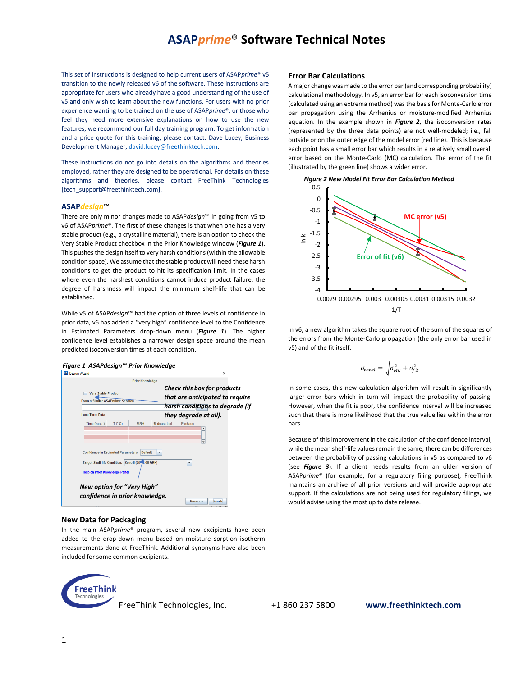This set of instructions is designed to help current users of ASAP*prime*® v5 transition to the newly released v6 of the software. These instructions are appropriate for users who already have a good understanding of the use of v5 and only wish to learn about the new functions. For users with no prior experience wanting to be trained on the use of ASAP*prime*®, or those who feel they need more extensive explanations on how to use the new features, we recommend our full day training program. To get information and a price quote for this training, please contact: Dave Lucey, Business Development Manager, [david.lucey@freethinktech.com.](mailto:david.lucey@freethinktech.com)

These instructions do not go into details on the algorithms and theories employed, rather they are designed to be operational. For details on these algorithms and theories, please contact FreeThink Technologies [tech\_support@freethinktech.com].

### **ASAP***design***™**

There are only minor changes made to ASAP*design*™ in going from v5 to v6 of ASAP*prime*®. The first of these changes is that when one has a very stable product (e.g., a crystalline material), there is an option to check the Very Stable Product checkbox in the Prior Knowledge window (*Figure 1*). This pushes the design itself to very harsh conditions (within the allowable condition space). We assume that the stable product will need these harsh conditions to get the product to hit its specification limit. In the cases where even the harshest conditions cannot induce product failure, the degree of harshness will impact the minimum shelf-life that can be established.

While v5 of ASAP*design*™ had the option of three levels of confidence in prior data, v6 has added a "very high" confidence level to the Confidence in Estimated Parameters drop-down menu (*Figure 1*). The higher confidence level establishes a narrower design space around the mean predicted isoconversion times at each condition.





#### **New Data for Packaging**

In the main ASAP*prime*® program, several new excipients have been added to the drop-down menu based on moisture sorption isotherm measurements done at FreeThink. Additional synonyms have also been included for some common excipients.



**Error Bar Calculations**

A major change was made to the error bar (and corresponding probability) calculational methodology. In v5, an error bar for each isoconversion time (calculated using an extrema method) wasthe basis for Monte-Carlo error bar propagation using the Arrhenius or moisture-modified Arrhenius equation. In the example shown in *Figure 2*, the isoconversion rates (represented by the three data points) are not well-modeled; i.e., fall outside or on the outer edge of the model error (red line). This is because each point has a small error bar which results in a relatively small overall error based on the Monte-Carlo (MC) calculation. The error of the fit (illustrated by the green line) shows a wider error.



In v6, a new algorithm takes the square root of the sum of the squares of the errors from the Monte-Carlo propagation (the only error bar used in v5) and of the fit itself:

$$
\sigma_{total} = \sqrt{\sigma_{MC}^2 + \sigma_{fit}^2}
$$

In some cases, this new calculation algorithm will result in significantly larger error bars which in turn will impact the probability of passing. However, when the fit is poor, the confidence interval will be increased such that there is more likelihood that the true value lies within the error bars.

Because of this improvement in the calculation of the confidence interval, while the mean shelf-life values remain the same, there can be differences between the probability of passing calculations in v5 as compared to v6 (see *Figure 3*). If a client needs results from an older version of ASAP*prime*® (for example, for a regulatory filing purpose), FreeThink maintains an archive of all prior versions and will provide appropriate support. If the calculations are not being used for regulatory filings, we would advise using the most up to date release.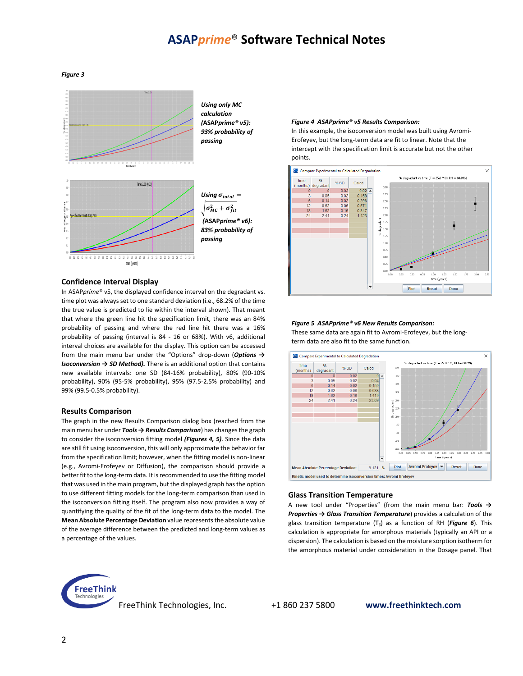#### *Figure 3*



## **Confidence Interval Display**

In ASAP*prime*® v5, the displayed confidence interval on the degradant vs. time plot was always set to one standard deviation (i.e., 68.2% of the time the true value is predicted to lie within the interval shown). That meant that where the green line hit the specification limit, there was an 84% probability of passing and where the red line hit there was a 16% probability of passing (interval is 84 - 16 or 68%). With v6, additional interval choices are available for the display. This option can be accessed from the main menu bar under the "Options" drop-down (*Options → Isoconversion → SD Method).* There is an additional option that contains new available intervals: one SD (84-16% probability), 80% (90-10% probability), 90% (95-5% probability), 95% (97.5-2.5% probability) and 99% (99.5-0.5% probability).

### **Results Comparison**

The graph in the new Results Comparison dialog box (reached from the main menu bar under *Tools → Results Comparison*) has changes the graph to consider the isoconversion fitting model *(Figures 4, 5)*. Since the data are still fit using isoconversion, this will only approximate the behavior far from the specification limit; however, when the fitting model is non-linear (e.g., Avromi-Erofeyev or Diffusion), the comparison should provide a better fit to the long-term data. It is recommended to use the fitting model that was used in the main program, but the displayed graph has the option to use different fitting models for the long-term comparison than used in the isoconversion fitting itself. The program also now provides a way of quantifying the quality of the fit of the long-term data to the model. The **Mean Absolute Percentage Deviation** value represents the absolute value of the average difference between the predicted and long-term values as a percentage of the values.

#### *Figure 4 ASAPprime® v5 Results Comparison:*

In this example, the isoconversion model was built using Avromi-Erofeyev, but the long-term data are fit to linear. Note that the intercept with the specification limit is accurate but not the other points.



#### *Figure 5 ASAPprime® v6 New Results Comparison:*

These same data are again fit to Avromi-Erofeyev, but the longterm data are also fit to the same function.



#### **Glass Transition Temperature**

A new tool under "Properties" (from the main menu bar: *Tools → Properties → Glass Transition Temperature*) provides a calculation of the glass transition temperature (Tg) as a function of RH (*Figure 6*). This calculation is appropriate for amorphous materials (typically an API or a dispersion). The calculation is based on the moisture sorption isotherm for the amorphous material under consideration in the Dosage panel. That



FreeThink Technologies, Inc. +1 860 237 5800 **www.freethinktech.com**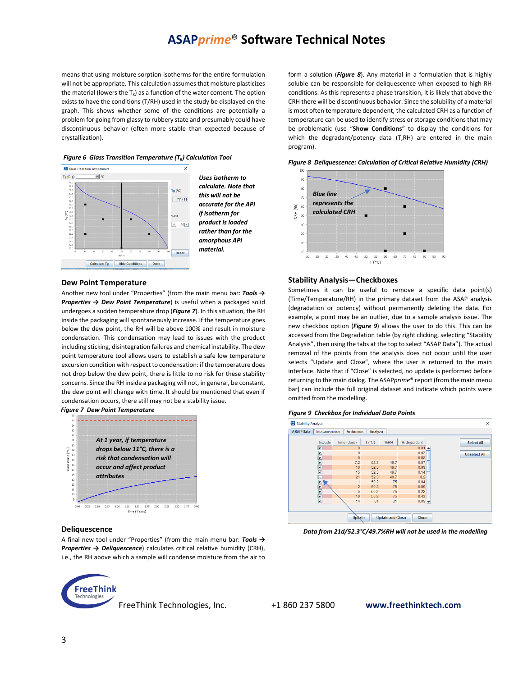means that using moisture sorption isotherms for the entire formulation will not be appropriate. This calculation assumes that moisture plasticizes the material (lowers the  $T_g$ ) as a function of the water content. The option exists to have the conditions (T/RH) used in the study be displayed on the graph. This shows whether some of the conditions are potentially a problem for going from glassy to rubbery state and presumably could have discontinuous behavior (often more stable than expected because of crystallization).





*Uses isotherm to calculate. Note that this will not be accurate for the API if isotherm for product is loaded rather than for the amorphous API material.*

#### **Dew Point Temperature**

Another new tool under "Properties" (from the main menu bar: *Tools → Properties → Dew Point Temperature*) is useful when a packaged solid undergoes a sudden temperature drop (*Figure 7*). In this situation, the RH inside the packaging will spontaneously increase. If the temperature goes below the dew point, the RH will be above 100% and result in moisture condensation. This condensation may lead to issues with the product including sticking, disintegration failures and chemical instability. The dew point temperature tool allows users to establish a safe low temperature excursion condition with respect to condensation: if the temperature does not drop below the dew point, there is little to no risk for these stability concerns. Since the RH inside a packaging will not, in general, be constant, the dew point will change with time. It should be mentioned that even if condensation occurs, there still may not be a stability issue.





## **Deliquescence**

A final new tool under "Properties" (from the main menu bar: *Tools → Properties → Deliquescence*) calculates critical relative humidity (CRH), i.e., the RH above which a sample will condense moisture from the air to



FreeThink Technologies, Inc. +1 860 237 5800 **www.freethinktech.com**

form a solution (*Figure 8*). Any material in a formulation that is highly soluble can be responsible for deliquescence when exposed to high RH conditions. As this represents a phase transition, it is likely that above the CRH there will be discontinuous behavior. Since the solubility of a material is most often temperature dependent, the calculated CRH as a function of temperature can be used to identify stress or storage conditions that may be problematic (use "**Show Conditions**" to display the conditions for which the degradant/potency data (T,RH) are entered in the main program).





### **Stability Analysis—Checkboxes**

Sometimes it can be useful to remove a specific data point(s) (Time/Temperature/RH) in the primary dataset from the ASAP analysis (degradation or potency) without permanently deleting the data. For example, a point may be an outlier, due to a sample analysis issue. The new checkbox option (*Figure 9*) allows the user to do this. This can be accessed from the Degradation table (by right clicking, selecting "Stability Analysis", then using the tabs at the top to select "ASAP Data"). The actual removal of the points from the analysis does not occur until the user selects "Update and Close", where the user is returned to the main interface. Note that if "Close" is selected, no update is performed before returning to the main dialog. The ASAP*prime*® report (from the main menu bar) can include the full original dataset and indicate which points were omitted from the modelling.

#### *Figure 9 Checkbox for Individual Data Points*



*Data from 21d/52.3°C/49.7%RH will not be used in the modelling*

3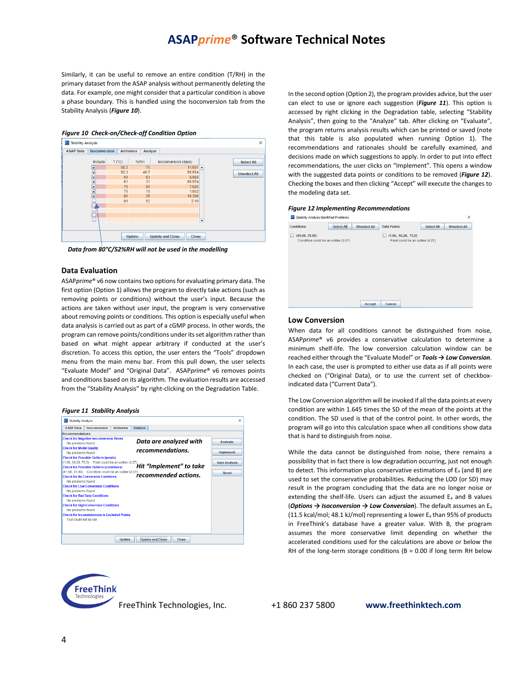Similarly, it can be useful to remove an entire condition (T/RH) in the primary dataset from the ASAP analysis without permanently deleting the data. For example, one might consider that a particular condition is above a phase boundary. This is handled using the Isoconversion tab from the Stability Analysis (*Figure 10*).



*Data from 80°C/52%RH will not be used in the modelling*

#### **Data Evaluation**

ASAP*prime*® v6 now contains two options for evaluating primary data. The first option (Option 1) allows the program to directly take actions (such as removing points or conditions) without the user's input. Because the actions are taken without user input, the program is very conservative about removing points or conditions. This option is especially useful when data analysis is carried out as part of a cGMP process. In other words, the program can remove points/conditions under its set algorithm rather than based on what might appear arbitrary if conducted at the user's discretion. To access this option, the user enters the "Tools" dropdown menu from the main menu bar. From this pull down, the user selects "Evaluate Model" and "Original Data". ASAP*prime*® v6 removes points and conditions based on its algorithm. The evaluation results are accessed from the "Stability Analysis" by right-clicking on the Degradation Table.

### *Figure 11 Stability Analysis*

| Stability Analysis                                                          | X                    |
|-----------------------------------------------------------------------------|----------------------|
| <b>Isoconversion</b><br>Analyze<br><b>ASAP Data</b><br><b>Arrhenius</b>     |                      |
| <b>Recommendations</b>                                                      |                      |
| <b>Check for Negative Isoconversion Times</b>                               |                      |
| Data are analyzed with<br>No problems found                                 | <b>Evaluate</b>      |
| <b>Check for Model Quality</b><br>recommendations.                          |                      |
| No problems found                                                           | <b>Implement</b>     |
| <b>Check for Possible Outliers (points)</b>                                 |                      |
| (1.00, 50.20, 75.0) Point could be an outlier (4.27)                        | <b>Save Analysis</b> |
| Hit "Implement" to take<br><b>Check for Possible Outliers (conditions)</b>  |                      |
| (61.00, 31.00) Condition could be an outlier (2.07)<br>recommended actions. | Reset                |
| <b>Check for No Conversion Conditions</b>                                   |                      |
| No problems found                                                           |                      |
| <b>Check for Low Conversion Conditions</b>                                  |                      |
| No problems found                                                           |                      |
| <b>Check for Bad Data Conditions</b>                                        |                      |
| No problems found<br><b>Check for High Conversion Conditions</b>            |                      |
| No problems found                                                           |                      |
| <b>Check for Inconsistencies in Excluded Points</b>                         |                      |
| Test could not be run                                                       |                      |
|                                                                             |                      |
|                                                                             |                      |
|                                                                             |                      |
| <b>Update and Close</b><br>Update<br>Close                                  |                      |

In the second option (Option 2), the program provides advice, but the user can elect to use or ignore each suggestion (*Figure 11*). This option is accessed by right clicking in the Degradation table, selecting "Stability Analysis", then going to the "Analyze" tab. After clicking on "Evaluate", the program returns analysis results which can be printed or saved (note that this table is also populated when running Option 1). The recommendations and rationales should be carefully examined, and decisions made on which suggestions to apply. In order to put into effect recommendations, the user clicks on "Implement". This opens a window with the suggested data points or conditions to be removed (*Figure 12*). Checking the boxes and then clicking "Accept" will execute the changes to the modeling data set.

#### *Figure 12 Implementing Recommendations*

| Stability Analysis Identified Problems                        |                                                         |                   | $\times$            |
|---------------------------------------------------------------|---------------------------------------------------------|-------------------|---------------------|
| <b>Select All</b><br><b>Conditions</b><br><b>Unselect All</b> | <b>Data Points</b>                                      | <b>Select All</b> | <b>Unselect All</b> |
| (61.00, 31.00)<br>m<br>Condition could be an outlier (2.07)   | (1.00, 50.20, 75.0)<br>Point could be an outlier (4.27) |                   |                     |
| <b>Accept</b>                                                 | Cancel                                                  |                   |                     |

### **Low Conversion**

When data for all conditions cannot be distinguished from noise, ASAP*prime*® v6 provides a conservative calculation to determine a minimum shelf-life. The low conversion calculation window can be reached either through the "Evaluate Model" or *Tools → Low Conversion*. In each case, the user is prompted to either use data as if all points were checked on ("Original Data), or to use the current set of checkboxindicated data ("Current Data").

The Low Conversion algorithm will be invoked if all the data points at every condition are within 1.645 times the SD of the mean of the points at the condition. The SD used is that of the control point. In other words, the program will go into this calculation space when all conditions show data that is hard to distinguish from noise.

While the data cannot be distinguished from noise, there remains a possibility that in fact there is low degradation occurring, just not enough to detect. This information plus conservative estimations of E<sup>a</sup> (and B) are used to set the conservative probabilities. Reducing the LOD (or SD) may result in the program concluding that the data are no longer noise or extending the shelf-life. Users can adjust the assumed E<sup>a</sup> and B values (*Options → Isoconversion → Low Conversion*). The default assumes an E<sup>a</sup> (11.5 kcal/mol; 48.1 kJ/mol) representing a lower  $E_a$  than 95% of products in FreeThink's database have a greater value. With B, the program assumes the more conservative limit depending on whether the accelerated conditions used for the calculations are above or below the RH of the long-term storage conditions ( $B = 0.00$  if long term RH below



FreeThink Technologies, Inc. +1 860 237 5800 **www.freethinktech.com**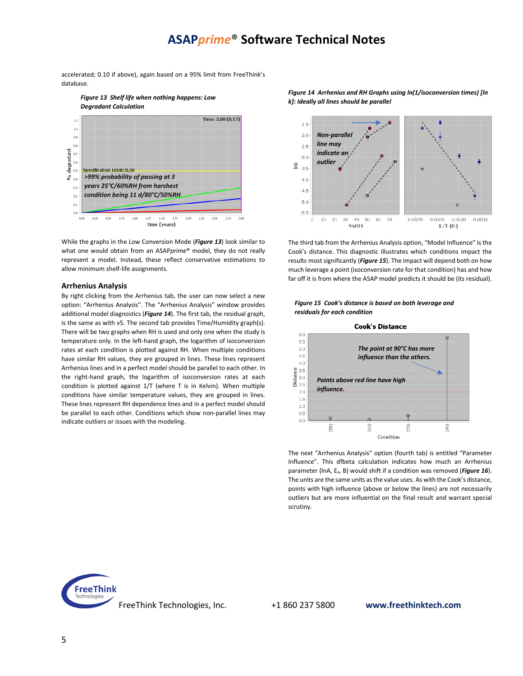accelerated; 0.10 if above), again based on a 95% limit from FreeThink's database.





While the graphs in the Low Conversion Mode (*Figure 13*) look similar to what one would obtain from an ASAP*prime*® model, they do not really represent a model. Instead, these reflect conservative estimations to allow minimum shelf-life assignments.

## **Arrhenius Analysis**

By right clicking from the Arrhenius tab, the user can now select a new option: "Arrhenius Analysis". The "Arrhenius Analysis" window provides additional model diagnostics (*Figure 14*). The first tab, the residual graph, is the same as with v5. The second tab provides Time/Humidity graph(s). There will be two graphs when RH is used and only one when the study is temperature only. In the left-hand graph, the logarithm of isoconversion rates at each condition is plotted against RH. When multiple conditions have similar RH values, they are grouped in lines. These lines represent Arrhenius lines and in a perfect model should be parallel to each other. In the right-hand graph, the logarithm of isoconversion rates at each condition is plotted against 1/T (where T is in Kelvin). When multiple conditions have similar temperature values, they are grouped in lines. These lines represent RH dependence lines and in a perfect model should be parallel to each other. Conditions which show non-parallel lines may indicate outliers or issues with the modeling.

*Figure 14 Arrhenius and RH Graphs using ln(1/isoconversion times) [ln k]: Ideally all lines should be parallel*



The third tab from the Arrhenius Analysis option, "Model Influence" is the Cook's distance. This diagnostic illustrates which conditions impact the results most significantly (*Figure 15*). The impact will depend both on how much leverage a point (isoconversion rate for that condition) has and how far off it is from where the ASAP model predicts it should be (its residual).





The next "Arrhenius Analysis" option (fourth tab) is entitled "Parameter Influence". This dfbeta calculation indicates how much an Arrhenius parameter (lnA, E<sub>a</sub>, B) would shift if a condition was removed (*Figure 16*). The units are the same units as the value uses. As with the Cook's distance, points with high influence (above or below the lines) are not necessarily outliers but are more influential on the final result and warrant special scrutiny.



## FreeThink Technologies, Inc. +1 860 237 5800 **www.freethinktech.com**